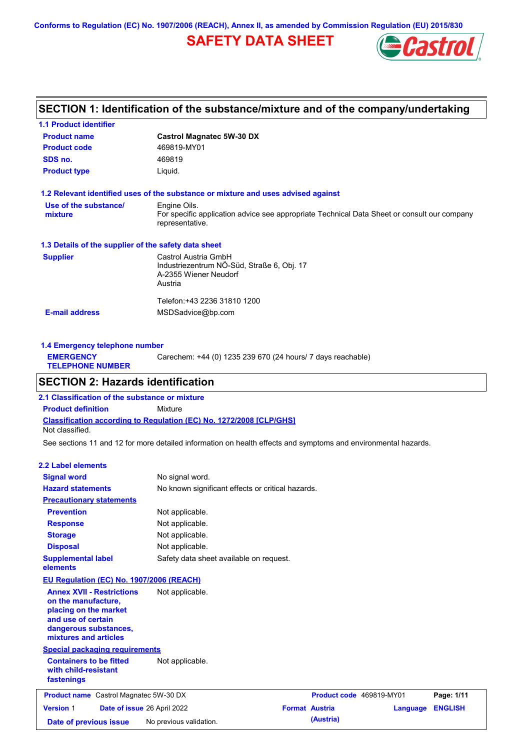**Conforms to Regulation (EC) No. 1907/2006 (REACH), Annex II, as amended by Commission Regulation (EU) 2015/830**

# **SAFETY DATA SHEET**



# **SECTION 1: Identification of the substance/mixture and of the company/undertaking**

| <b>1.1 Product identifier</b>                        |                                                                                                                |
|------------------------------------------------------|----------------------------------------------------------------------------------------------------------------|
| <b>Product name</b>                                  | <b>Castrol Magnatec 5W-30 DX</b>                                                                               |
| <b>Product code</b>                                  | 469819-MY01                                                                                                    |
| SDS no.                                              | 469819                                                                                                         |
| <b>Product type</b>                                  | Liquid.                                                                                                        |
|                                                      | 1.2 Relevant identified uses of the substance or mixture and uses advised against                              |
| Use of the substance/                                | Engine Oils.                                                                                                   |
| mixture                                              | For specific application advice see appropriate Technical Data Sheet or consult our company<br>representative. |
| 1.3 Details of the supplier of the safety data sheet |                                                                                                                |
| <b>Supplier</b>                                      | Castrol Austria GmbH                                                                                           |
|                                                      | Industriezentrum NÖ-Süd, Straße 6, Obj. 17                                                                     |
|                                                      | A-2355 Wiener Neudorf                                                                                          |
|                                                      | Austria                                                                                                        |
|                                                      | Telefon:+43 2236 31810 1200                                                                                    |
| <b>E-mail address</b>                                | MSDSadvice@bp.com                                                                                              |
|                                                      |                                                                                                                |

| 1.4 Emergency telephone number              |                                                             |
|---------------------------------------------|-------------------------------------------------------------|
| <b>EMERGENCY</b><br><b>TELEPHONE NUMBER</b> | Carechem: +44 (0) 1235 239 670 (24 hours/ 7 days reachable) |
|                                             |                                                             |

## **SECTION 2: Hazards identification**

**Classification according to Regulation (EC) No. 1272/2008 [CLP/GHS] 2.1 Classification of the substance or mixture Product definition** Mixture Not classified.

See sections 11 and 12 for more detailed information on health effects and symptoms and environmental hazards.

#### **2.2 Label elements**

| <b>Signal word</b><br><b>Hazard statements</b><br><b>Precautionary statements</b>                                                                        | No signal word.<br>No known significant effects or critical hazards. |                       |                          |          |                |
|----------------------------------------------------------------------------------------------------------------------------------------------------------|----------------------------------------------------------------------|-----------------------|--------------------------|----------|----------------|
|                                                                                                                                                          |                                                                      |                       |                          |          |                |
| <b>Prevention</b>                                                                                                                                        | Not applicable.                                                      |                       |                          |          |                |
| <b>Response</b>                                                                                                                                          | Not applicable.                                                      |                       |                          |          |                |
| <b>Storage</b>                                                                                                                                           | Not applicable.                                                      |                       |                          |          |                |
| <b>Disposal</b>                                                                                                                                          | Not applicable.                                                      |                       |                          |          |                |
| <b>Supplemental label</b><br>elements                                                                                                                    | Safety data sheet available on request.                              |                       |                          |          |                |
| <b>EU Regulation (EC) No. 1907/2006 (REACH)</b>                                                                                                          |                                                                      |                       |                          |          |                |
| <b>Annex XVII - Restrictions</b><br>on the manufacture,<br>placing on the market<br>and use of certain<br>dangerous substances,<br>mixtures and articles | Not applicable.                                                      |                       |                          |          |                |
| <b>Special packaging requirements</b>                                                                                                                    |                                                                      |                       |                          |          |                |
| <b>Containers to be fitted</b><br>with child-resistant<br>fastenings                                                                                     | Not applicable.                                                      |                       |                          |          |                |
| <b>Product name</b> Castrol Magnatec 5W-30 DX                                                                                                            |                                                                      |                       | Product code 469819-MY01 |          | Page: 1/11     |
| <b>Version 1</b><br>Date of issue 26 April 2022                                                                                                          |                                                                      | <b>Format Austria</b> |                          | Language | <b>ENGLISH</b> |
| Date of previous issue                                                                                                                                   | No previous validation.                                              |                       | (Austria)                |          |                |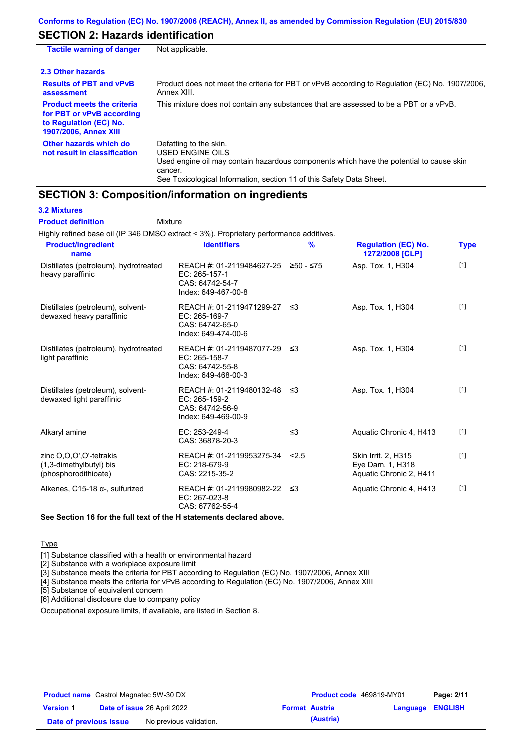# **SECTION 2: Hazards identification**

| <b>Tactile warning of danger</b>                                                                                         | Not applicable.                                                                                                                                                                                                          |
|--------------------------------------------------------------------------------------------------------------------------|--------------------------------------------------------------------------------------------------------------------------------------------------------------------------------------------------------------------------|
| 2.3 Other hazards                                                                                                        |                                                                                                                                                                                                                          |
| <b>Results of PBT and vPvB</b><br>assessment                                                                             | Product does not meet the criteria for PBT or vPvB according to Regulation (EC) No. 1907/2006,<br>Annex XIII.                                                                                                            |
| <b>Product meets the criteria</b><br>for PBT or vPvB according<br>to Regulation (EC) No.<br><b>1907/2006, Annex XIII</b> | This mixture does not contain any substances that are assessed to be a PBT or a vPvB.                                                                                                                                    |
| Other hazards which do<br>not result in classification                                                                   | Defatting to the skin.<br>USED ENGINE OILS<br>Used engine oil may contain hazardous components which have the potential to cause skin<br>cancer.<br>See Toxicological Information, section 11 of this Safety Data Sheet. |

## **SECTION 3: Composition/information on ingredients**

**3.2 Mixtures**

| <b>Product definition</b>                                                  | Mixture                                                                                        |               |                                                                    |             |
|----------------------------------------------------------------------------|------------------------------------------------------------------------------------------------|---------------|--------------------------------------------------------------------|-------------|
|                                                                            | Highly refined base oil (IP 346 DMSO extract < 3%). Proprietary performance additives.         |               |                                                                    |             |
| <b>Product/ingredient</b><br>name                                          | <b>Identifiers</b>                                                                             | $\frac{9}{6}$ | <b>Regulation (EC) No.</b><br>1272/2008 [CLP]                      | <b>Type</b> |
| Distillates (petroleum), hydrotreated<br>heavy paraffinic                  | REACH #: 01-2119484627-25 ≥50 - ≤75<br>EC: 265-157-1<br>CAS: 64742-54-7<br>Index: 649-467-00-8 |               | Asp. Tox. 1, H304                                                  | $[1]$       |
| Distillates (petroleum), solvent-<br>dewaxed heavy paraffinic              | REACH #: 01-2119471299-27<br>EC: 265-169-7<br>CAS: 64742-65-0<br>Index: 649-474-00-6           | ב≥            | Asp. Tox. 1, H304                                                  | $[1]$       |
| Distillates (petroleum), hydrotreated<br>light paraffinic                  | REACH #: 01-2119487077-29<br>EC: 265-158-7<br>CAS: 64742-55-8<br>Index: 649-468-00-3           | -≤3           | Asp. Tox. 1, H304                                                  | $[1]$       |
| Distillates (petroleum), solvent-<br>dewaxed light paraffinic              | REACH #: 01-2119480132-48<br>EC: 265-159-2<br>CAS: 64742-56-9<br>Index: 649-469-00-9           | ≤3            | Asp. Tox. 1, H304                                                  | $[1]$       |
| Alkaryl amine                                                              | EC: 253-249-4<br>CAS: 36878-20-3                                                               | $\leq$ 3      | Aquatic Chronic 4, H413                                            | $[1]$       |
| zinc O,O,O',O'-tetrakis<br>(1,3-dimethylbutyl) bis<br>(phosphorodithioate) | REACH #: 01-2119953275-34<br>EC: 218-679-9<br>CAS: 2215-35-2                                   | 2.5           | Skin Irrit. 2, H315<br>Eye Dam. 1, H318<br>Aquatic Chronic 2, H411 | [1]         |
| Alkenes, C15-18 a-, sulfurized                                             | REACH #: 01-2119980982-22<br>EC: 267-023-8<br>CAS: 67762-55-4                                  | ≤3            | Aquatic Chronic 4, H413                                            | $[1]$       |
|                                                                            | See Section 16 for the full text of the H statements declared above.                           |               |                                                                    |             |
|                                                                            |                                                                                                |               |                                                                    |             |
|                                                                            |                                                                                                |               |                                                                    |             |

**Type** 

[1] Substance classified with a health or environmental hazard

[2] Substance with a workplace exposure limit

[3] Substance meets the criteria for PBT according to Regulation (EC) No. 1907/2006, Annex XIII

[4] Substance meets the criteria for vPvB according to Regulation (EC) No. 1907/2006, Annex XIII

[5] Substance of equivalent concern

[6] Additional disclosure due to company policy

Occupational exposure limits, if available, are listed in Section 8.

| <b>Product name</b> Castrol Magnatec 5W-30 DX |  | <b>Product code</b> 469819-MY01    |                       | Page: 2/11 |                  |  |
|-----------------------------------------------|--|------------------------------------|-----------------------|------------|------------------|--|
| <b>Version 1</b>                              |  | <b>Date of issue 26 April 2022</b> | <b>Format Austria</b> |            | Language ENGLISH |  |
| Date of previous issue                        |  | No previous validation.            |                       | (Austria)  |                  |  |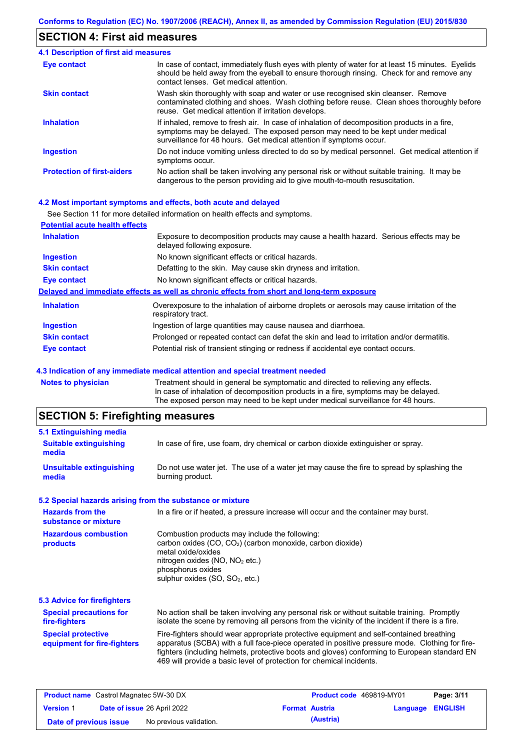## **SECTION 4: First aid measures**

| 4.1 Description of first aid measures |                                                                                                                                                                                                                                                     |
|---------------------------------------|-----------------------------------------------------------------------------------------------------------------------------------------------------------------------------------------------------------------------------------------------------|
| Eye contact                           | In case of contact, immediately flush eyes with plenty of water for at least 15 minutes. Eyelids<br>should be held away from the eyeball to ensure thorough rinsing. Check for and remove any<br>contact lenses. Get medical attention.             |
| <b>Skin contact</b>                   | Wash skin thoroughly with soap and water or use recognised skin cleanser. Remove<br>contaminated clothing and shoes. Wash clothing before reuse. Clean shoes thoroughly before<br>reuse. Get medical attention if irritation develops.              |
| <b>Inhalation</b>                     | If inhaled, remove to fresh air. In case of inhalation of decomposition products in a fire,<br>symptoms may be delayed. The exposed person may need to be kept under medical<br>surveillance for 48 hours. Get medical attention if symptoms occur. |
| <b>Ingestion</b>                      | Do not induce vomiting unless directed to do so by medical personnel. Get medical attention if<br>symptoms occur.                                                                                                                                   |
| <b>Protection of first-aiders</b>     | No action shall be taken involving any personal risk or without suitable training. It may be<br>dangerous to the person providing aid to give mouth-to-mouth resuscitation.                                                                         |

#### **4.2 Most important symptoms and effects, both acute and delayed**

|                                       | See Section 11 for more detailed information on health effects and symptoms.                                        |
|---------------------------------------|---------------------------------------------------------------------------------------------------------------------|
| <b>Potential acute health effects</b> |                                                                                                                     |
| <b>Inhalation</b>                     | Exposure to decomposition products may cause a health hazard. Serious effects may be<br>delayed following exposure. |
| <b>Ingestion</b>                      | No known significant effects or critical hazards.                                                                   |
| <b>Skin contact</b>                   | Defatting to the skin. May cause skin dryness and irritation.                                                       |
| Eye contact                           | No known significant effects or critical hazards.                                                                   |
|                                       | Delayed and immediate effects as well as chronic effects from short and long-term exposure                          |
| <b>Inhalation</b>                     | Overexposure to the inhalation of airborne droplets or aerosols may cause irritation of the<br>respiratory tract.   |
| <b>Ingestion</b>                      | Ingestion of large quantities may cause nausea and diarrhoea.                                                       |
| <b>Skin contact</b>                   | Prolonged or repeated contact can defat the skin and lead to irritation and/or dermatitis.                          |
| Eye contact                           | Potential risk of transient stinging or redness if accidental eye contact occurs.                                   |

#### **4.3 Indication of any immediate medical attention and special treatment needed**

| <b>Notes to physician</b> | Treatment should in general be symptomatic and directed to relieving any effects.   |
|---------------------------|-------------------------------------------------------------------------------------|
|                           | In case of inhalation of decomposition products in a fire, symptoms may be delayed. |
|                           | The exposed person may need to be kept under medical surveillance for 48 hours.     |
|                           |                                                                                     |

# **SECTION 5: Firefighting measures**

| In case of fire, use foam, dry chemical or carbon dioxide extinguisher or spray.                                                                                                                                                                                                                                                                                  |
|-------------------------------------------------------------------------------------------------------------------------------------------------------------------------------------------------------------------------------------------------------------------------------------------------------------------------------------------------------------------|
| Do not use water jet. The use of a water jet may cause the fire to spread by splashing the<br>burning product.                                                                                                                                                                                                                                                    |
| 5.2 Special hazards arising from the substance or mixture                                                                                                                                                                                                                                                                                                         |
| In a fire or if heated, a pressure increase will occur and the container may burst.                                                                                                                                                                                                                                                                               |
| Combustion products may include the following:<br>carbon oxides (CO, CO <sub>2</sub> ) (carbon monoxide, carbon dioxide)<br>metal oxide/oxides<br>nitrogen oxides (NO, NO <sub>2</sub> etc.)<br>phosphorus oxides<br>sulphur oxides (SO, SO <sub>2</sub> , etc.)                                                                                                  |
|                                                                                                                                                                                                                                                                                                                                                                   |
| No action shall be taken involving any personal risk or without suitable training. Promptly<br>isolate the scene by removing all persons from the vicinity of the incident if there is a fire.                                                                                                                                                                    |
| Fire-fighters should wear appropriate protective equipment and self-contained breathing<br>apparatus (SCBA) with a full face-piece operated in positive pressure mode. Clothing for fire-<br>fighters (including helmets, protective boots and gloves) conforming to European standard EN<br>469 will provide a basic level of protection for chemical incidents. |
|                                                                                                                                                                                                                                                                                                                                                                   |

| <b>Product name</b> Castrol Magnatec 5W-30 DX |  | <b>Product code</b> 469819-MY01    |  | Page: 3/11            |                         |  |
|-----------------------------------------------|--|------------------------------------|--|-----------------------|-------------------------|--|
| <b>Version 1</b>                              |  | <b>Date of issue 26 April 2022</b> |  | <b>Format Austria</b> | <b>Language ENGLISH</b> |  |
| Date of previous issue                        |  | No previous validation.            |  | (Austria)             |                         |  |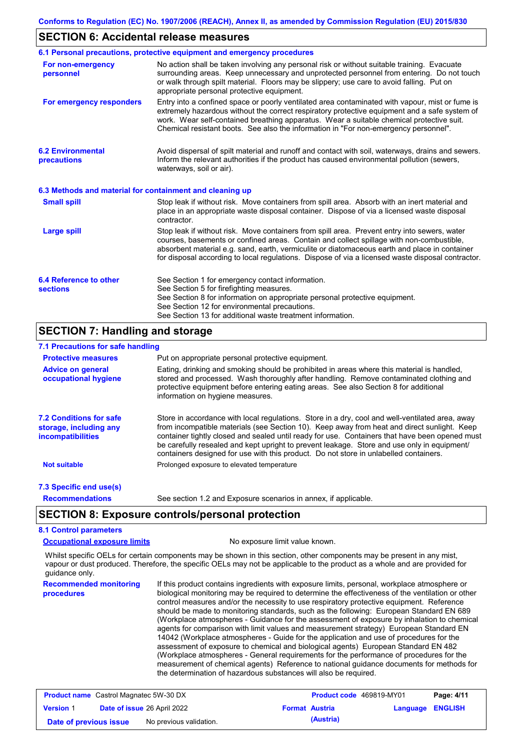#### **SECTION 6: Accidental release measures**

|                                                          | 6.1 Personal precautions, protective equipment and emergency procedures                                                                                                                                                                                                                                                                                                                        |
|----------------------------------------------------------|------------------------------------------------------------------------------------------------------------------------------------------------------------------------------------------------------------------------------------------------------------------------------------------------------------------------------------------------------------------------------------------------|
| For non-emergency<br>personnel                           | No action shall be taken involving any personal risk or without suitable training. Evacuate<br>surrounding areas. Keep unnecessary and unprotected personnel from entering. Do not touch<br>or walk through spilt material. Floors may be slippery; use care to avoid falling. Put on<br>appropriate personal protective equipment.                                                            |
| For emergency responders                                 | Entry into a confined space or poorly ventilated area contaminated with vapour, mist or fume is<br>extremely hazardous without the correct respiratory protective equipment and a safe system of<br>work. Wear self-contained breathing apparatus. Wear a suitable chemical protective suit.<br>Chemical resistant boots. See also the information in "For non-emergency personnel".           |
| <b>6.2 Environmental</b><br>precautions                  | Avoid dispersal of spilt material and runoff and contact with soil, waterways, drains and sewers.<br>Inform the relevant authorities if the product has caused environmental pollution (sewers,<br>waterways, soil or air).                                                                                                                                                                    |
| 6.3 Methods and material for containment and cleaning up |                                                                                                                                                                                                                                                                                                                                                                                                |
| <b>Small spill</b>                                       | Stop leak if without risk. Move containers from spill area. Absorb with an inert material and<br>place in an appropriate waste disposal container. Dispose of via a licensed waste disposal<br>contractor.                                                                                                                                                                                     |
| <b>Large spill</b>                                       | Stop leak if without risk. Move containers from spill area. Prevent entry into sewers, water<br>courses, basements or confined areas. Contain and collect spillage with non-combustible,<br>absorbent material e.g. sand, earth, vermiculite or diatomaceous earth and place in container<br>for disposal according to local regulations. Dispose of via a licensed waste disposal contractor. |
| 6.4 Reference to other<br><b>sections</b>                | See Section 1 for emergency contact information.<br>See Section 5 for firefighting measures.<br>See Section 8 for information on appropriate personal protective equipment.<br>See Section 12 for environmental precautions.<br>See Section 13 for additional waste treatment information.                                                                                                     |

## **SECTION 7: Handling and storage**

## **7.1 Precautions for safe handling**

| <b>Protective measures</b>                                                    | Put on appropriate personal protective equipment.                                                                                                                                                                                                                                                                                                                                                                                                                                        |
|-------------------------------------------------------------------------------|------------------------------------------------------------------------------------------------------------------------------------------------------------------------------------------------------------------------------------------------------------------------------------------------------------------------------------------------------------------------------------------------------------------------------------------------------------------------------------------|
| <b>Advice on general</b><br>occupational hygiene                              | Eating, drinking and smoking should be prohibited in areas where this material is handled,<br>stored and processed. Wash thoroughly after handling. Remove contaminated clothing and<br>protective equipment before entering eating areas. See also Section 8 for additional<br>information on hygiene measures.                                                                                                                                                                         |
| <b>7.2 Conditions for safe</b><br>storage, including any<br>incompatibilities | Store in accordance with local requiations. Store in a dry, cool and well-ventilated area, away<br>from incompatible materials (see Section 10). Keep away from heat and direct sunlight. Keep<br>container tightly closed and sealed until ready for use. Containers that have been opened must<br>be carefully resealed and kept upright to prevent leakage. Store and use only in equipment/<br>containers designed for use with this product. Do not store in unlabelled containers. |
| <b>Not suitable</b>                                                           | Prolonged exposure to elevated temperature                                                                                                                                                                                                                                                                                                                                                                                                                                               |
| 7.3 Specific end use(s)                                                       |                                                                                                                                                                                                                                                                                                                                                                                                                                                                                          |
| <b>Recommendations</b>                                                        | See section 1.2 and Exposure scenarios in annex, if applicable.                                                                                                                                                                                                                                                                                                                                                                                                                          |

## **SECTION 8: Exposure controls/personal protection**

## **8.1 Control parameters**

**Occupational exposure limits** No exposure limit value known.

Whilst specific OELs for certain components may be shown in this section, other components may be present in any mist, vapour or dust produced. Therefore, the specific OELs may not be applicable to the product as a whole and are provided for guidance only.

**Recommended monitoring procedures** If this product contains ingredients with exposure limits, personal, workplace atmosphere or biological monitoring may be required to determine the effectiveness of the ventilation or other control measures and/or the necessity to use respiratory protective equipment. Reference should be made to monitoring standards, such as the following: European Standard EN 689 (Workplace atmospheres - Guidance for the assessment of exposure by inhalation to chemical agents for comparison with limit values and measurement strategy) European Standard EN 14042 (Workplace atmospheres - Guide for the application and use of procedures for the assessment of exposure to chemical and biological agents) European Standard EN 482 (Workplace atmospheres - General requirements for the performance of procedures for the measurement of chemical agents) Reference to national guidance documents for methods for the determination of hazardous substances will also be required.

| <b>Product name</b> Castrol Magnatec 5W-30 DX     |                                                             |  | Product code 469819-MY01 |                         | Page: 4/11 |
|---------------------------------------------------|-------------------------------------------------------------|--|--------------------------|-------------------------|------------|
| <b>Version 1</b>                                  | <b>Date of issue 26 April 2022</b><br><b>Format Austria</b> |  |                          | <b>Language ENGLISH</b> |            |
| No previous validation.<br>Date of previous issue |                                                             |  | (Austria)                |                         |            |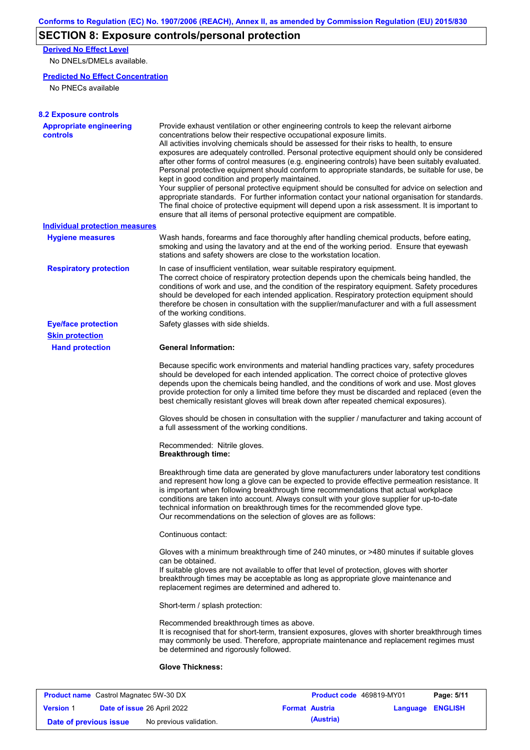# **SECTION 8: Exposure controls/personal protection**

**Derived No Effect Level**

No DNELs/DMELs available.

#### **Predicted No Effect Concentration**

No PNECs available

| <b>Appropriate engineering</b>        | Provide exhaust ventilation or other engineering controls to keep the relevant airborne                                                                                                                                                                                                                                                                                                                                                                                                                                                                                                                                                                                                                                                                                                                                                                                                                      |
|---------------------------------------|--------------------------------------------------------------------------------------------------------------------------------------------------------------------------------------------------------------------------------------------------------------------------------------------------------------------------------------------------------------------------------------------------------------------------------------------------------------------------------------------------------------------------------------------------------------------------------------------------------------------------------------------------------------------------------------------------------------------------------------------------------------------------------------------------------------------------------------------------------------------------------------------------------------|
| <b>controls</b>                       | concentrations below their respective occupational exposure limits.<br>All activities involving chemicals should be assessed for their risks to health, to ensure<br>exposures are adequately controlled. Personal protective equipment should only be considered<br>after other forms of control measures (e.g. engineering controls) have been suitably evaluated.<br>Personal protective equipment should conform to appropriate standards, be suitable for use, be<br>kept in good condition and properly maintained.<br>Your supplier of personal protective equipment should be consulted for advice on selection and<br>appropriate standards. For further information contact your national organisation for standards.<br>The final choice of protective equipment will depend upon a risk assessment. It is important to<br>ensure that all items of personal protective equipment are compatible. |
| <b>Individual protection measures</b> |                                                                                                                                                                                                                                                                                                                                                                                                                                                                                                                                                                                                                                                                                                                                                                                                                                                                                                              |
| <b>Hygiene measures</b>               | Wash hands, forearms and face thoroughly after handling chemical products, before eating,<br>smoking and using the lavatory and at the end of the working period. Ensure that eyewash<br>stations and safety showers are close to the workstation location.                                                                                                                                                                                                                                                                                                                                                                                                                                                                                                                                                                                                                                                  |
| <b>Respiratory protection</b>         | In case of insufficient ventilation, wear suitable respiratory equipment.<br>The correct choice of respiratory protection depends upon the chemicals being handled, the<br>conditions of work and use, and the condition of the respiratory equipment. Safety procedures<br>should be developed for each intended application. Respiratory protection equipment should<br>therefore be chosen in consultation with the supplier/manufacturer and with a full assessment<br>of the working conditions.                                                                                                                                                                                                                                                                                                                                                                                                        |
| <b>Eye/face protection</b>            | Safety glasses with side shields.                                                                                                                                                                                                                                                                                                                                                                                                                                                                                                                                                                                                                                                                                                                                                                                                                                                                            |
| <b>Skin protection</b>                |                                                                                                                                                                                                                                                                                                                                                                                                                                                                                                                                                                                                                                                                                                                                                                                                                                                                                                              |
| <b>Hand protection</b>                | <b>General Information:</b>                                                                                                                                                                                                                                                                                                                                                                                                                                                                                                                                                                                                                                                                                                                                                                                                                                                                                  |
|                                       | Because specific work environments and material handling practices vary, safety procedures<br>should be developed for each intended application. The correct choice of protective gloves<br>depends upon the chemicals being handled, and the conditions of work and use. Most gloves<br>provide protection for only a limited time before they must be discarded and replaced (even the<br>best chemically resistant gloves will break down after repeated chemical exposures).                                                                                                                                                                                                                                                                                                                                                                                                                             |
|                                       | Gloves should be chosen in consultation with the supplier / manufacturer and taking account of<br>a full assessment of the working conditions.                                                                                                                                                                                                                                                                                                                                                                                                                                                                                                                                                                                                                                                                                                                                                               |
|                                       | Recommended: Nitrile gloves.<br><b>Breakthrough time:</b>                                                                                                                                                                                                                                                                                                                                                                                                                                                                                                                                                                                                                                                                                                                                                                                                                                                    |
|                                       | Breakthrough time data are generated by glove manufacturers under laboratory test conditions<br>and represent how long a glove can be expected to provide effective permeation resistance. It<br>is important when following breakthrough time recommendations that actual workplace<br>conditions are taken into account. Always consult with your glove supplier for up-to-date<br>technical information on breakthrough times for the recommended glove type.<br>Our recommendations on the selection of gloves are as follows:                                                                                                                                                                                                                                                                                                                                                                           |
|                                       | Continuous contact:                                                                                                                                                                                                                                                                                                                                                                                                                                                                                                                                                                                                                                                                                                                                                                                                                                                                                          |
|                                       | Gloves with a minimum breakthrough time of 240 minutes, or >480 minutes if suitable gloves<br>can be obtained.<br>If suitable gloves are not available to offer that level of protection, gloves with shorter<br>breakthrough times may be acceptable as long as appropriate glove maintenance and<br>replacement regimes are determined and adhered to.                                                                                                                                                                                                                                                                                                                                                                                                                                                                                                                                                     |
|                                       | Short-term / splash protection:                                                                                                                                                                                                                                                                                                                                                                                                                                                                                                                                                                                                                                                                                                                                                                                                                                                                              |
|                                       | Recommended breakthrough times as above.<br>It is recognised that for short-term, transient exposures, gloves with shorter breakthrough times<br>may commonly be used. Therefore, appropriate maintenance and replacement regimes must<br>be determined and rigorously followed.                                                                                                                                                                                                                                                                                                                                                                                                                                                                                                                                                                                                                             |
|                                       |                                                                                                                                                                                                                                                                                                                                                                                                                                                                                                                                                                                                                                                                                                                                                                                                                                                                                                              |

| <b>Product name</b> Castrol Magnatec 5W-30 DX |  |                                    | Product code 469819-MY01 | Page: 5/11 |                         |  |
|-----------------------------------------------|--|------------------------------------|--------------------------|------------|-------------------------|--|
| <b>Version 1</b>                              |  | <b>Date of issue 26 April 2022</b> | <b>Format Austria</b>    |            | <b>Language ENGLISH</b> |  |
| Date of previous issue                        |  | No previous validation.            |                          | (Austria)  |                         |  |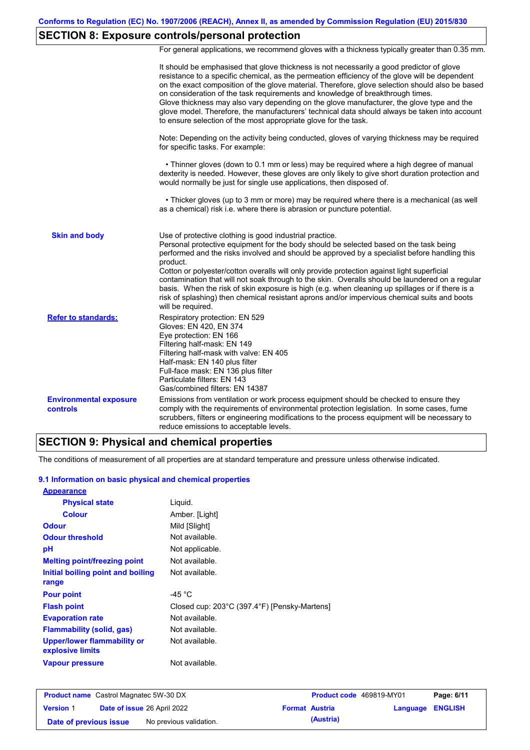# **SECTION 8: Exposure controls/personal protection**

For general applications, we recommend gloves with a thickness typically greater than 0.35 mm.

|                                           | It should be emphasised that glove thickness is not necessarily a good predictor of glove<br>resistance to a specific chemical, as the permeation efficiency of the glove will be dependent<br>on the exact composition of the glove material. Therefore, glove selection should also be based<br>on consideration of the task requirements and knowledge of breakthrough times.<br>Glove thickness may also vary depending on the glove manufacturer, the glove type and the<br>glove model. Therefore, the manufacturers' technical data should always be taken into account<br>to ensure selection of the most appropriate glove for the task.                                     |
|-------------------------------------------|---------------------------------------------------------------------------------------------------------------------------------------------------------------------------------------------------------------------------------------------------------------------------------------------------------------------------------------------------------------------------------------------------------------------------------------------------------------------------------------------------------------------------------------------------------------------------------------------------------------------------------------------------------------------------------------|
|                                           | Note: Depending on the activity being conducted, gloves of varying thickness may be required<br>for specific tasks. For example:                                                                                                                                                                                                                                                                                                                                                                                                                                                                                                                                                      |
|                                           | • Thinner gloves (down to 0.1 mm or less) may be required where a high degree of manual<br>dexterity is needed. However, these gloves are only likely to give short duration protection and<br>would normally be just for single use applications, then disposed of.                                                                                                                                                                                                                                                                                                                                                                                                                  |
|                                           | • Thicker gloves (up to 3 mm or more) may be required where there is a mechanical (as well<br>as a chemical) risk i.e. where there is abrasion or puncture potential.                                                                                                                                                                                                                                                                                                                                                                                                                                                                                                                 |
| <b>Skin and body</b>                      | Use of protective clothing is good industrial practice.<br>Personal protective equipment for the body should be selected based on the task being<br>performed and the risks involved and should be approved by a specialist before handling this<br>product.<br>Cotton or polyester/cotton overalls will only provide protection against light superficial<br>contamination that will not soak through to the skin. Overalls should be laundered on a regular<br>basis. When the risk of skin exposure is high (e.g. when cleaning up spillages or if there is a<br>risk of splashing) then chemical resistant aprons and/or impervious chemical suits and boots<br>will be required. |
| <b>Refer to standards:</b>                | Respiratory protection: EN 529<br>Gloves: EN 420, EN 374<br>Eye protection: EN 166<br>Filtering half-mask: EN 149<br>Filtering half-mask with valve: EN 405<br>Half-mask: EN 140 plus filter<br>Full-face mask: EN 136 plus filter<br>Particulate filters: EN 143<br>Gas/combined filters: EN 14387                                                                                                                                                                                                                                                                                                                                                                                   |
| <b>Environmental exposure</b><br>controls | Emissions from ventilation or work process equipment should be checked to ensure they<br>comply with the requirements of environmental protection legislation. In some cases, fume<br>scrubbers, filters or engineering modifications to the process equipment will be necessary to<br>reduce emissions to acceptable levels.                                                                                                                                                                                                                                                                                                                                                         |

## **SECTION 9: Physical and chemical properties**

The conditions of measurement of all properties are at standard temperature and pressure unless otherwise indicated.

#### **9.1 Information on basic physical and chemical properties**

| <b>Appearance</b>                                      |                                              |
|--------------------------------------------------------|----------------------------------------------|
| <b>Physical state</b>                                  | Liquid.                                      |
| <b>Colour</b>                                          | Amber. [Light]                               |
| <b>Odour</b>                                           | Mild [Slight]                                |
| <b>Odour threshold</b>                                 | Not available.                               |
| рH                                                     | Not applicable.                              |
| <b>Melting point/freezing point</b>                    | Not available.                               |
| Initial boiling point and boiling                      | Not available.                               |
| range                                                  |                                              |
| <b>Pour point</b>                                      | -45 $^{\circ}$ C                             |
| <b>Flash point</b>                                     | Closed cup: 203°C (397.4°F) [Pensky-Martens] |
| <b>Evaporation rate</b>                                | Not available.                               |
| <b>Flammability (solid, gas)</b>                       | Not available.                               |
| <b>Upper/lower flammability or</b><br>explosive limits | Not available.                               |
| <b>Vapour pressure</b>                                 | Not available.                               |

| <b>Product name</b> Castrol Magnatec 5W-30 DX |  |                                    | Product code 469819-MY01 |           | Page: 6/11              |  |
|-----------------------------------------------|--|------------------------------------|--------------------------|-----------|-------------------------|--|
| <b>Version 1</b>                              |  | <b>Date of issue 26 April 2022</b> | <b>Format Austria</b>    |           | <b>Language ENGLISH</b> |  |
| Date of previous issue                        |  | No previous validation.            |                          | (Austria) |                         |  |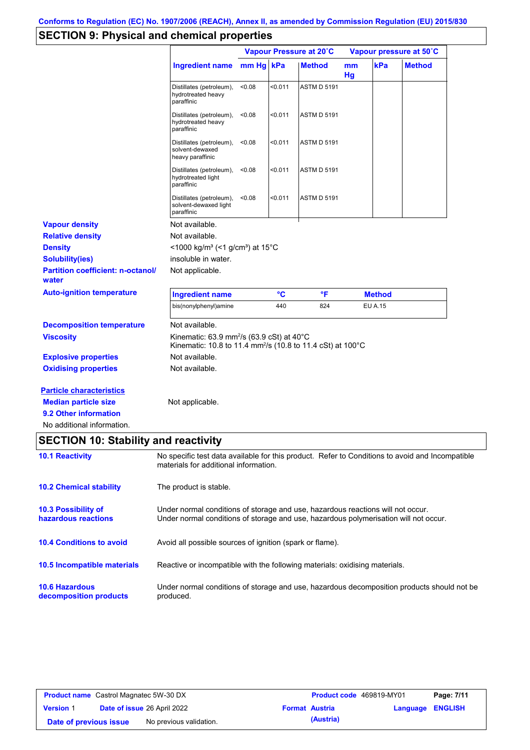# **SECTION 9: Physical and chemical properties**

|                                                                                                                       |                                                                                                                                                                         |           | Vapour Pressure at 20°C |                    | Vapour pressure at 50°C |                |               |
|-----------------------------------------------------------------------------------------------------------------------|-------------------------------------------------------------------------------------------------------------------------------------------------------------------------|-----------|-------------------------|--------------------|-------------------------|----------------|---------------|
|                                                                                                                       | <b>Ingredient name</b>                                                                                                                                                  | mm Hg kPa |                         | <b>Method</b>      | mm<br>Hg                | kPa            | <b>Method</b> |
|                                                                                                                       | Distillates (petroleum),<br>hydrotreated heavy<br>paraffinic                                                                                                            | < 0.08    | < 0.011                 | <b>ASTM D 5191</b> |                         |                |               |
|                                                                                                                       | Distillates (petroleum),<br>hydrotreated heavy<br>paraffinic                                                                                                            | < 0.08    | $0.011$                 | <b>ASTM D 5191</b> |                         |                |               |
|                                                                                                                       | Distillates (petroleum),<br>solvent-dewaxed<br>heavy paraffinic                                                                                                         | < 0.08    | $0.011$                 | <b>ASTM D 5191</b> |                         |                |               |
|                                                                                                                       | Distillates (petroleum),<br>hydrotreated light<br>paraffinic                                                                                                            | < 0.08    | $0.011$                 | <b>ASTM D 5191</b> |                         |                |               |
|                                                                                                                       | Distillates (petroleum),<br>solvent-dewaxed light<br>paraffinic                                                                                                         | < 0.08    | $0.011$                 | <b>ASTM D 5191</b> |                         |                |               |
| <b>Vapour density</b>                                                                                                 | Not available.                                                                                                                                                          |           |                         |                    |                         |                |               |
| <b>Relative density</b>                                                                                               | Not available.                                                                                                                                                          |           |                         |                    |                         |                |               |
| <b>Density</b>                                                                                                        | <1000 kg/m <sup>3</sup> (<1 g/cm <sup>3</sup> ) at 15 <sup>°</sup> C                                                                                                    |           |                         |                    |                         |                |               |
| <b>Solubility(ies)</b>                                                                                                | insoluble in water.                                                                                                                                                     |           |                         |                    |                         |                |               |
| <b>Partition coefficient: n-octanol/</b><br>water                                                                     | Not applicable.                                                                                                                                                         |           |                         |                    |                         |                |               |
| <b>Auto-ignition temperature</b>                                                                                      | <b>Ingredient name</b>                                                                                                                                                  |           | $\rm ^{\circ}C$         | °F                 |                         | <b>Method</b>  |               |
|                                                                                                                       | bis(nonylphenyl)amine                                                                                                                                                   |           | 440                     | 824                |                         | <b>EU A.15</b> |               |
| <b>Decomposition temperature</b>                                                                                      | Not available.                                                                                                                                                          |           |                         |                    |                         |                |               |
| <b>Viscosity</b>                                                                                                      | Kinematic: 63.9 mm <sup>2</sup> /s (63.9 cSt) at 40 $\degree$ C<br>Kinematic: 10.8 to 11.4 mm <sup>2</sup> /s (10.8 to 11.4 cSt) at 100°C                               |           |                         |                    |                         |                |               |
| <b>Explosive properties</b>                                                                                           | Not available.                                                                                                                                                          |           |                         |                    |                         |                |               |
| <b>Oxidising properties</b>                                                                                           | Not available.                                                                                                                                                          |           |                         |                    |                         |                |               |
| <b>Particle characteristics</b><br><b>Median particle size</b><br>9.2 Other information<br>No additional information. | Not applicable.                                                                                                                                                         |           |                         |                    |                         |                |               |
| <b>SECTION 10: Stability and reactivity</b>                                                                           |                                                                                                                                                                         |           |                         |                    |                         |                |               |
| <b>10.1 Reactivity</b>                                                                                                | No specific test data available for this product. Refer to Conditions to avoid and Incompatible<br>materials for additional information.                                |           |                         |                    |                         |                |               |
| <b>10.2 Chemical stability</b>                                                                                        | The product is stable.                                                                                                                                                  |           |                         |                    |                         |                |               |
| 10.3 Possibility of<br>hazardous reactions                                                                            | Under normal conditions of storage and use, hazardous reactions will not occur.<br>Under normal conditions of storage and use, hazardous polymerisation will not occur. |           |                         |                    |                         |                |               |
| <b>10.4 Conditions to avoid</b>                                                                                       | Avoid all possible sources of ignition (spark or flame).                                                                                                                |           |                         |                    |                         |                |               |
| 10.5 Incompatible materials                                                                                           | Reactive or incompatible with the following materials: oxidising materials.                                                                                             |           |                         |                    |                         |                |               |
| <b>10.6 Hazardous</b><br>decomposition products                                                                       | Under normal conditions of storage and use, hazardous decomposition products should not be<br>produced.                                                                 |           |                         |                    |                         |                |               |

| <b>Product name</b> Castrol Magnatec 5W-30 DX     |                                                      |  | <b>Product code</b> 469819-MY01 |                  | Page: 7/11 |
|---------------------------------------------------|------------------------------------------------------|--|---------------------------------|------------------|------------|
| <b>Version 1</b>                                  | Date of issue 26 April 2022<br><b>Format Austria</b> |  |                                 | Language ENGLISH |            |
| No previous validation.<br>Date of previous issue |                                                      |  | (Austria)                       |                  |            |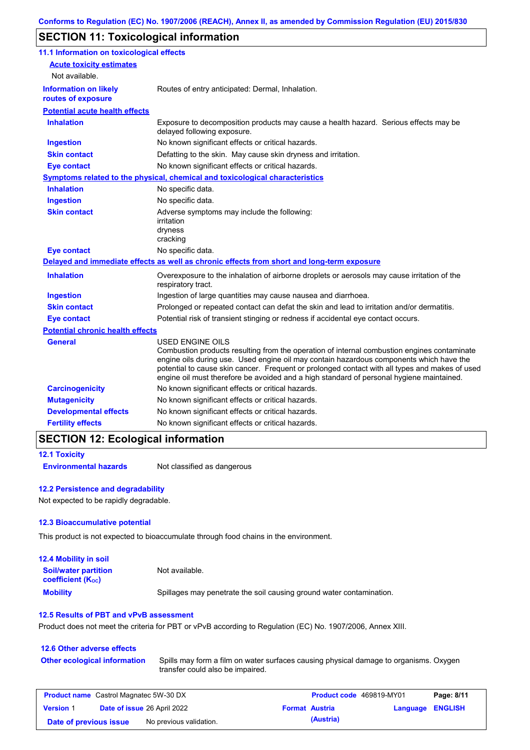# **SECTION 11: Toxicological information**

| 11.1 Information on toxicological effects          |                                                                                                                                                                                                                                                                                                                                                                                                                 |
|----------------------------------------------------|-----------------------------------------------------------------------------------------------------------------------------------------------------------------------------------------------------------------------------------------------------------------------------------------------------------------------------------------------------------------------------------------------------------------|
| <b>Acute toxicity estimates</b>                    |                                                                                                                                                                                                                                                                                                                                                                                                                 |
| Not available.                                     |                                                                                                                                                                                                                                                                                                                                                                                                                 |
| <b>Information on likely</b><br>routes of exposure | Routes of entry anticipated: Dermal, Inhalation.                                                                                                                                                                                                                                                                                                                                                                |
| <b>Potential acute health effects</b>              |                                                                                                                                                                                                                                                                                                                                                                                                                 |
| <b>Inhalation</b>                                  | Exposure to decomposition products may cause a health hazard. Serious effects may be<br>delayed following exposure.                                                                                                                                                                                                                                                                                             |
| <b>Ingestion</b>                                   | No known significant effects or critical hazards.                                                                                                                                                                                                                                                                                                                                                               |
| <b>Skin contact</b>                                | Defatting to the skin. May cause skin dryness and irritation.                                                                                                                                                                                                                                                                                                                                                   |
| <b>Eye contact</b>                                 | No known significant effects or critical hazards.                                                                                                                                                                                                                                                                                                                                                               |
|                                                    | <b>Symptoms related to the physical, chemical and toxicological characteristics</b>                                                                                                                                                                                                                                                                                                                             |
| <b>Inhalation</b>                                  | No specific data.                                                                                                                                                                                                                                                                                                                                                                                               |
| <b>Ingestion</b>                                   | No specific data.                                                                                                                                                                                                                                                                                                                                                                                               |
| <b>Skin contact</b>                                | Adverse symptoms may include the following:<br>irritation<br>dryness<br>cracking                                                                                                                                                                                                                                                                                                                                |
| <b>Eye contact</b>                                 | No specific data.                                                                                                                                                                                                                                                                                                                                                                                               |
|                                                    | Delayed and immediate effects as well as chronic effects from short and long-term exposure                                                                                                                                                                                                                                                                                                                      |
| <b>Inhalation</b>                                  | Overexposure to the inhalation of airborne droplets or aerosols may cause irritation of the<br>respiratory tract.                                                                                                                                                                                                                                                                                               |
| <b>Ingestion</b>                                   | Ingestion of large quantities may cause nausea and diarrhoea.                                                                                                                                                                                                                                                                                                                                                   |
| <b>Skin contact</b>                                | Prolonged or repeated contact can defat the skin and lead to irritation and/or dermatitis.                                                                                                                                                                                                                                                                                                                      |
| <b>Eye contact</b>                                 | Potential risk of transient stinging or redness if accidental eye contact occurs.                                                                                                                                                                                                                                                                                                                               |
| <b>Potential chronic health effects</b>            |                                                                                                                                                                                                                                                                                                                                                                                                                 |
| <b>General</b>                                     | <b>USED ENGINE OILS</b><br>Combustion products resulting from the operation of internal combustion engines contaminate<br>engine oils during use. Used engine oil may contain hazardous components which have the<br>potential to cause skin cancer. Frequent or prolonged contact with all types and makes of used<br>engine oil must therefore be avoided and a high standard of personal hygiene maintained. |
| <b>Carcinogenicity</b>                             | No known significant effects or critical hazards.                                                                                                                                                                                                                                                                                                                                                               |
| <b>Mutagenicity</b>                                | No known significant effects or critical hazards.                                                                                                                                                                                                                                                                                                                                                               |
| <b>Developmental effects</b>                       | No known significant effects or critical hazards.                                                                                                                                                                                                                                                                                                                                                               |
| <b>Fertility effects</b>                           | No known significant effects or critical hazards.                                                                                                                                                                                                                                                                                                                                                               |

## **SECTION 12: Ecological information**

#### **12.1 Toxicity Environmental hazards** Not classified as dangerous

#### **12.2 Persistence and degradability**

Not expected to be rapidly degradable.

#### **12.3 Bioaccumulative potential**

This product is not expected to bioaccumulate through food chains in the environment.

| <b>12.4 Mobility in soil</b>                            |                                                                      |
|---------------------------------------------------------|----------------------------------------------------------------------|
| <b>Soil/water partition</b><br><b>coefficient (Koc)</b> | Not available.                                                       |
| <b>Mobility</b>                                         | Spillages may penetrate the soil causing ground water contamination. |

#### **12.5 Results of PBT and vPvB assessment**

Product does not meet the criteria for PBT or vPvB according to Regulation (EC) No. 1907/2006, Annex XIII.

#### **12.6 Other adverse effects Other ecological information**

Spills may form a film on water surfaces causing physical damage to organisms. Oxygen transfer could also be impaired.

| <b>Product name</b> Castrol Magnatec 5W-30 DX |  |                                    | Product code 469819-MY01 |                       | Page: 8/11              |  |
|-----------------------------------------------|--|------------------------------------|--------------------------|-----------------------|-------------------------|--|
| <b>Version 1</b>                              |  | <b>Date of issue 26 April 2022</b> |                          | <b>Format Austria</b> | <b>Language ENGLISH</b> |  |
| Date of previous issue                        |  | No previous validation.            |                          | (Austria)             |                         |  |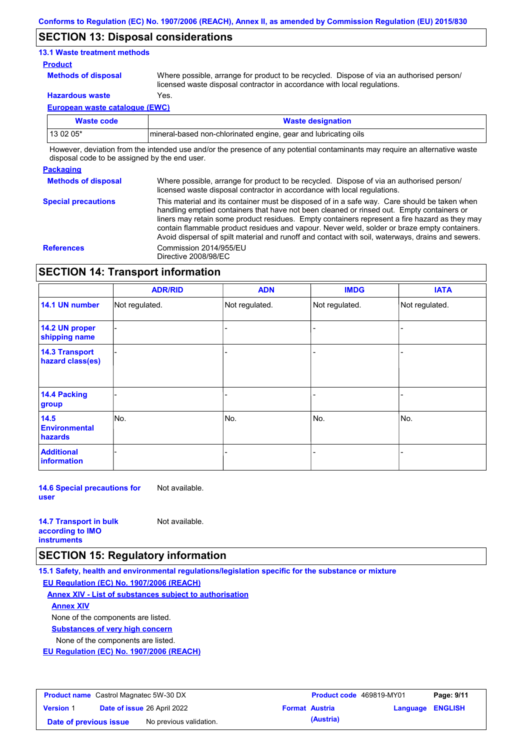## **SECTION 13: Disposal considerations**

#### **13.1 Waste treatment methods**

#### **Product**

**Methods of disposal**

Where possible, arrange for product to be recycled. Dispose of via an authorised person/ licensed waste disposal contractor in accordance with local regulations.

**Hazardous waste** Yes.

**European waste catalogue (EWC)**

| Waste code | <b>Waste designation</b>                                         |
|------------|------------------------------------------------------------------|
| 13 02 05*  | Imineral-based non-chlorinated engine, gear and lubricating oils |

However, deviation from the intended use and/or the presence of any potential contaminants may require an alternative waste disposal code to be assigned by the end user.

#### **Packaging**

**Methods of disposal** Where possible, arrange for product to be recycled. Dispose of via an authorised person/ licensed waste disposal contractor in accordance with local regulations.

**Special precautions** This material and its container must be disposed of in a safe way. Care should be taken when handling emptied containers that have not been cleaned or rinsed out. Empty containers or liners may retain some product residues. Empty containers represent a fire hazard as they may contain flammable product residues and vapour. Never weld, solder or braze empty containers. Avoid dispersal of spilt material and runoff and contact with soil, waterways, drains and sewers. **References** Commission 2014/955/EU Directive 2008/98/EC

## **SECTION 14: Transport information**

|                                                | <b>ADR/RID</b> | <b>ADN</b>     | <b>IMDG</b>    | <b>IATA</b>    |  |
|------------------------------------------------|----------------|----------------|----------------|----------------|--|
| 14.1 UN number                                 | Not regulated. | Not regulated. | Not regulated. | Not regulated. |  |
| 14.2 UN proper<br>shipping name                |                |                |                |                |  |
| <b>14.3 Transport</b><br>hazard class(es)      |                |                |                |                |  |
| 14.4 Packing<br>group                          |                |                |                |                |  |
| 14.5<br><b>Environmental</b><br><b>hazards</b> | No.            | No.            | No.            | No.            |  |
| <b>Additional</b><br>information               |                |                |                |                |  |

**14.6 Special precautions for user** Not available.

| <b>14.7 Transport in bulk</b> | Not available. |
|-------------------------------|----------------|
| according to <b>IMO</b>       |                |
| <b>instruments</b>            |                |

## **SECTION 15: Regulatory information**

**15.1 Safety, health and environmental regulations/legislation specific for the substance or mixture**

**EU Regulation (EC) No. 1907/2006 (REACH)**

**Annex XIV - List of substances subject to authorisation**

**Annex XIV**

None of the components are listed.

**Substances of very high concern**

None of the components are listed.

**EU Regulation (EC) No. 1907/2006 (REACH)**

| <b>Product name</b> Castrol Magnatec 5W-30 DX |                                    |                         | <b>Product code</b> 469819-MY01 |                       | Page: 9/11       |  |
|-----------------------------------------------|------------------------------------|-------------------------|---------------------------------|-----------------------|------------------|--|
| <b>Version 1</b>                              | <b>Date of issue 26 April 2022</b> |                         |                                 | <b>Format Austria</b> | Language ENGLISH |  |
| Date of previous issue                        |                                    | No previous validation. |                                 | (Austria)             |                  |  |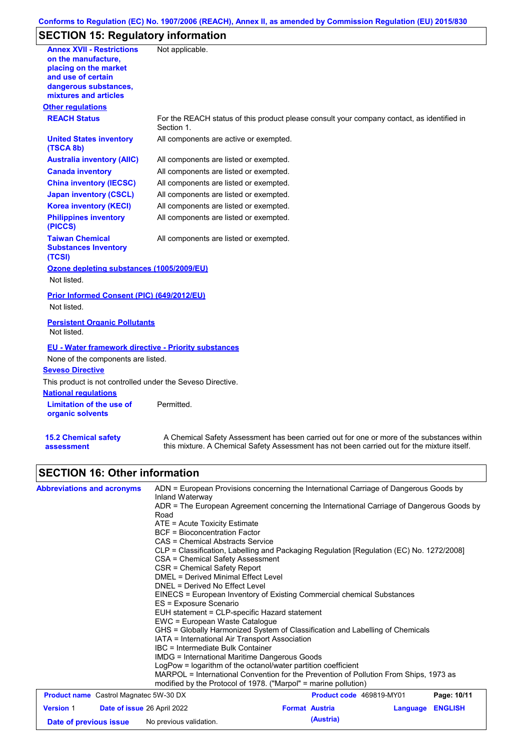## **Conforms to Regulation (EC) No. 1907/2006 (REACH), Annex II, as amended by Commission Regulation (EU) 2015/830**

# **SECTION 15: Regulatory information**

| <b>Annex XVII - Restrictions</b>                                | Not applicable.                                                                                                                                                                           |
|-----------------------------------------------------------------|-------------------------------------------------------------------------------------------------------------------------------------------------------------------------------------------|
| on the manufacture,                                             |                                                                                                                                                                                           |
| placing on the market                                           |                                                                                                                                                                                           |
| and use of certain<br>dangerous substances,                     |                                                                                                                                                                                           |
| mixtures and articles                                           |                                                                                                                                                                                           |
| <b>Other regulations</b>                                        |                                                                                                                                                                                           |
| <b>REACH Status</b>                                             | For the REACH status of this product please consult your company contact, as identified in<br>Section 1.                                                                                  |
| <b>United States inventory</b><br>(TSCA 8b)                     | All components are active or exempted.                                                                                                                                                    |
| <b>Australia inventory (AIIC)</b>                               | All components are listed or exempted.                                                                                                                                                    |
| <b>Canada inventory</b>                                         | All components are listed or exempted.                                                                                                                                                    |
| <b>China inventory (IECSC)</b>                                  | All components are listed or exempted.                                                                                                                                                    |
| <b>Japan inventory (CSCL)</b>                                   | All components are listed or exempted.                                                                                                                                                    |
| <b>Korea inventory (KECI)</b>                                   | All components are listed or exempted.                                                                                                                                                    |
| <b>Philippines inventory</b><br>(PICCS)                         | All components are listed or exempted.                                                                                                                                                    |
| <b>Taiwan Chemical</b><br><b>Substances Inventory</b><br>(TCSI) | All components are listed or exempted.                                                                                                                                                    |
| Ozone depleting substances (1005/2009/EU)                       |                                                                                                                                                                                           |
| Not listed.                                                     |                                                                                                                                                                                           |
| <b>Prior Informed Consent (PIC) (649/2012/EU)</b>               |                                                                                                                                                                                           |
| Not listed.                                                     |                                                                                                                                                                                           |
| <b>Persistent Organic Pollutants</b><br>Not listed.             |                                                                                                                                                                                           |
| <b>EU - Water framework directive - Priority substances</b>     |                                                                                                                                                                                           |
| None of the components are listed.                              |                                                                                                                                                                                           |
| <b>Seveso Directive</b>                                         |                                                                                                                                                                                           |
| This product is not controlled under the Seveso Directive.      |                                                                                                                                                                                           |
| <b>National regulations</b>                                     |                                                                                                                                                                                           |
| Limitation of the use of<br>organic solvents                    | Permitted.                                                                                                                                                                                |
| <b>15.2 Chemical safety</b><br>assessment                       | A Chemical Safety Assessment has been carried out for one or more of the substances within<br>this mixture. A Chemical Safety Assessment has not been carried out for the mixture itself. |
| <b>SECTION 16: Other information</b>                            |                                                                                                                                                                                           |

# **SECTION 16: Other information**

| <b>Abbreviations and acronyms</b>             | ADN = European Provisions concerning the International Carriage of Dangerous Goods by<br>Inland Waterway                                                 |  |  |  |  |  |
|-----------------------------------------------|----------------------------------------------------------------------------------------------------------------------------------------------------------|--|--|--|--|--|
|                                               | ADR = The European Agreement concerning the International Carriage of Dangerous Goods by<br>Road                                                         |  |  |  |  |  |
|                                               | $ATE = Acute Toxicity Estimate$                                                                                                                          |  |  |  |  |  |
|                                               | <b>BCF</b> = Bioconcentration Factor                                                                                                                     |  |  |  |  |  |
|                                               | CAS = Chemical Abstracts Service                                                                                                                         |  |  |  |  |  |
|                                               | CLP = Classification, Labelling and Packaging Regulation [Regulation (EC) No. 1272/2008]                                                                 |  |  |  |  |  |
|                                               | CSA = Chemical Safety Assessment                                                                                                                         |  |  |  |  |  |
|                                               | CSR = Chemical Safety Report                                                                                                                             |  |  |  |  |  |
|                                               | DMEL = Derived Minimal Effect Level                                                                                                                      |  |  |  |  |  |
|                                               | DNEL = Derived No Effect Level                                                                                                                           |  |  |  |  |  |
|                                               | EINECS = European Inventory of Existing Commercial chemical Substances                                                                                   |  |  |  |  |  |
|                                               | ES = Exposure Scenario                                                                                                                                   |  |  |  |  |  |
|                                               | EUH statement = CLP-specific Hazard statement<br>EWC = European Waste Cataloque                                                                          |  |  |  |  |  |
|                                               |                                                                                                                                                          |  |  |  |  |  |
|                                               | GHS = Globally Harmonized System of Classification and Labelling of Chemicals                                                                            |  |  |  |  |  |
|                                               | IATA = International Air Transport Association                                                                                                           |  |  |  |  |  |
|                                               | IBC = Intermediate Bulk Container                                                                                                                        |  |  |  |  |  |
|                                               | IMDG = International Maritime Dangerous Goods                                                                                                            |  |  |  |  |  |
|                                               | LogPow = logarithm of the octanol/water partition coefficient                                                                                            |  |  |  |  |  |
|                                               | MARPOL = International Convention for the Prevention of Pollution From Ships, 1973 as<br>modified by the Protocol of 1978. ("Marpol" = marine pollution) |  |  |  |  |  |
| <b>Product name</b> Castrol Magnatec 5W-30 DX | Page: 10/11<br><b>Product code</b> 469819-MY01                                                                                                           |  |  |  |  |  |

| <b>THOUGHT HANDE</b> Castrol Magnated ONY-00 DAY |  | <b>THOUGH COUP TO JOINT OF</b> |                       | . agu. 1971 1 |                  |  |
|--------------------------------------------------|--|--------------------------------|-----------------------|---------------|------------------|--|
| <b>Version 1</b>                                 |  | Date of issue 26 April 2022    | <b>Format Austria</b> |               | Language ENGLISH |  |
| Date of previous issue                           |  | No previous validation.        |                       | (Austria)     |                  |  |